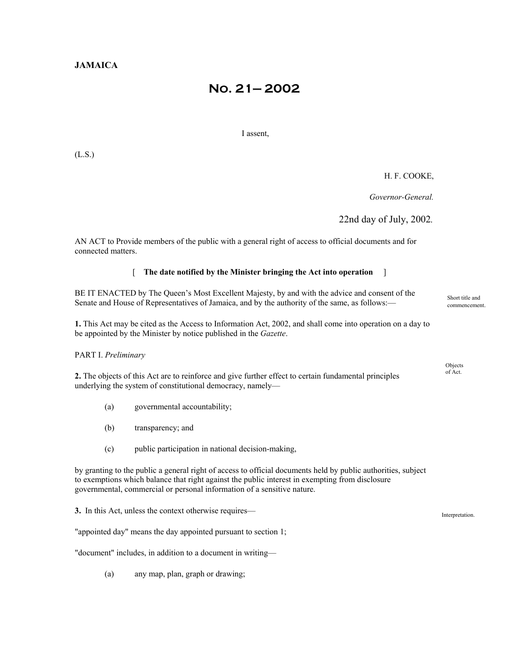# **No. 21— 2002**

I assent,

(L.S.)

## H. F. COOKE,

 *Governor-General.* 

22nd day of July, 2002*.*

AN ACT to Provide members of the public with a general right of access to official documents and for connected matters.

### [ **The date notified by the Minister bringing the Act into operation** ]

BE IT ENACTED by The Queen's Most Excellent Majesty, by and with the advice and consent of the Senate and House of Representatives of Jamaica, and by the authority of the same, as follows:—

**1.** This Act may be cited as the Access to Information Act, 2002, and shall come into operation on a day to be appointed by the Minister by notice published in the *Gazette*.

PART I. *Preliminary*

2. The objects of this Act are to reinforce and give further effect to certain fundamental principles of Act. underlying the system of constitutional democracy, namely—

- (a) governmental accountability;
- (b) transparency; and
- (c) public participation in national decision-making,

by granting to the public a general right of access to official documents held by public authorities, subject to exemptions which balance that right against the public interest in exempting from disclosure governmental, commercial or personal information of a sensitive nature.

**3.** In this Act, unless the context otherwise requires—

"appointed day" means the day appointed pursuant to section 1;

"document" includes, in addition to a document in writing—

(a) any map, plan, graph or drawing;

Short title and commencement.

**Objects**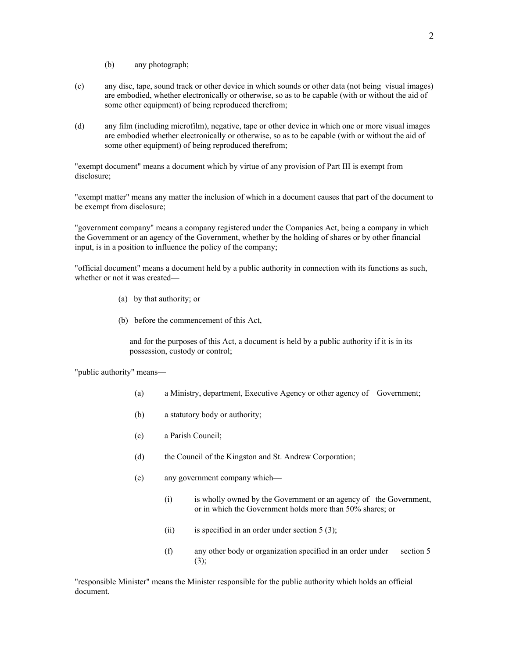- (b) any photograph;
- (c) any disc, tape, sound track or other device in which sounds or other data (not being visual images) are embodied, whether electronically or otherwise, so as to be capable (with or without the aid of some other equipment) of being reproduced therefrom;
- (d) any film (including microfilm), negative, tape or other device in which one or more visual images are embodied whether electronically or otherwise, so as to be capable (with or without the aid of some other equipment) of being reproduced therefrom;

"exempt document" means a document which by virtue of any provision of Part III is exempt from disclosure;

"exempt matter" means any matter the inclusion of which in a document causes that part of the document to be exempt from disclosure;

"government company" means a company registered under the Companies Act, being a company in which the Government or an agency of the Government, whether by the holding of shares or by other financial input, is in a position to influence the policy of the company;

"official document" means a document held by a public authority in connection with its functions as such, whether or not it was created—

- (a) by that authority; or
- (b) before the commencement of this Act,

and for the purposes of this Act, a document is held by a public authority if it is in its possession, custody or control;

"public authority" means—

- (a) a Ministry, department, Executive Agency or other agency of Government;
- (b) a statutory body or authority;
- (c) a Parish Council;
- (d) the Council of the Kingston and St. Andrew Corporation;
- (e) any government company which—
	- (i) is wholly owned by the Government or an agency of the Government, or in which the Government holds more than 50% shares; or
	- (ii) is specified in an order under section  $5(3)$ ;
	- (f) any other body or organization specified in an order under section 5 (3);

"responsible Minister" means the Minister responsible for the public authority which holds an official document.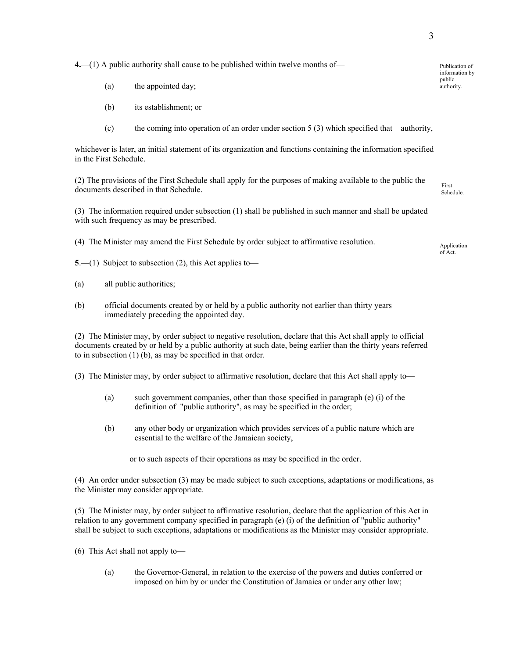**4.**—(1) A public authority shall cause to be published within twelve months of— Publication of

- (a) the appointed day; authority.
- (b) its establishment; or
- (c) the coming into operation of an order under section 5 (3) which specified that authority,

whichever is later, an initial statement of its organization and functions containing the information specified in the First Schedule.

(2) The provisions of the First Schedule shall apply for the purposes of making available to the public the documents described in that Schedule.

(3) The information required under subsection (1) shall be published in such manner and shall be updated with such frequency as may be prescribed.

- (4) The Minister may amend the First Schedule by order subject to affirmative resolution. Application
- **5**.—(1) Subject to subsection (2), this Act applies to—
- (a) all public authorities;
- (b) official documents created by or held by a public authority not earlier than thirty years immediately preceding the appointed day.

(2) The Minister may, by order subject to negative resolution, declare that this Act shall apply to official documents created by or held by a public authority at such date, being earlier than the thirty years referred to in subsection (1) (b), as may be specified in that order.

(3) The Minister may, by order subject to affirmative resolution, declare that this Act shall apply to—

- (a) such government companies, other than those specified in paragraph (e) (i) of the definition of "public authority", as may be specified in the order;
- (b) any other body or organization which provides services of a public nature which are essential to the welfare of the Jamaican society,

or to such aspects of their operations as may be specified in the order.

(4) An order under subsection (3) may be made subject to such exceptions, adaptations or modifications, as the Minister may consider appropriate.

(5) The Minister may, by order subject to affirmative resolution, declare that the application of this Act in relation to any government company specified in paragraph (e) (i) of the definition of "public authority" shall be subject to such exceptions, adaptations or modifications as the Minister may consider appropriate.

- (6) This Act shall not apply to—
	- (a) the Governor-General, in relation to the exercise of the powers and duties conferred or imposed on him by or under the Constitution of Jamaica or under any other law;

Schedule.

information by public

of Act.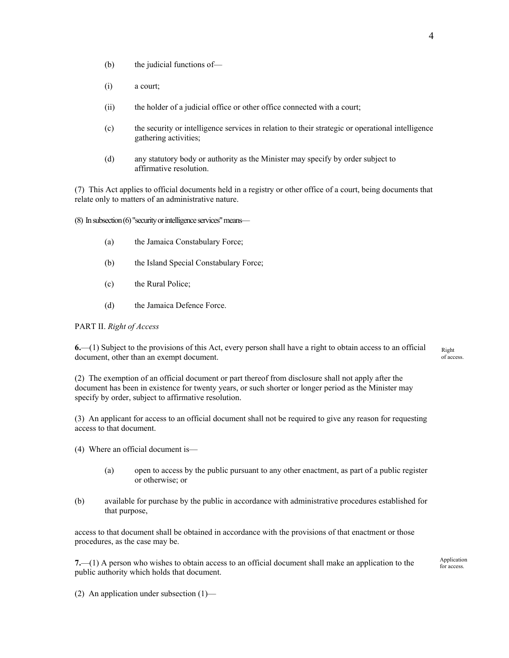- (b) the judicial functions of—
- (i) a court;
- (ii) the holder of a judicial office or other office connected with a court;
- (c) the security or intelligence services in relation to their strategic or operational intelligence gathering activities;
- (d) any statutory body or authority as the Minister may specify by order subject to affirmative resolution.

(7) This Act applies to official documents held in a registry or other office of a court, being documents that relate only to matters of an administrative nature.

 $(8)$  In subsection  $(6)$  "security or intelligence services" means—

- (a) the Jamaica Constabulary Force;
- (b) the Island Special Constabulary Force;
- (c) the Rural Police;
- (d) the Jamaica Defence Force.

#### PART II. *Right of Access*

**6.**—(1) Subject to the provisions of this Act, every person shall have a right to obtain access to an official document, other than an exempt document. of access.

(2) The exemption of an official document or part thereof from disclosure shall not apply after the document has been in existence for twenty years, or such shorter or longer period as the Minister may specify by order, subject to affirmative resolution.

(3) An applicant for access to an official document shall not be required to give any reason for requesting access to that document.

- (4) Where an official document is—
	- (a) open to access by the public pursuant to any other enactment, as part of a public register or otherwise; or
- (b) available for purchase by the public in accordance with administrative procedures established for that purpose,

access to that document shall be obtained in accordance with the provisions of that enactment or those procedures, as the case may be.

for access. **7.**—(1) A person who wishes to obtain access to an official document shall make an application to the public authority which holds that document.

Application<br>for access.

(2) An application under subsection (1)—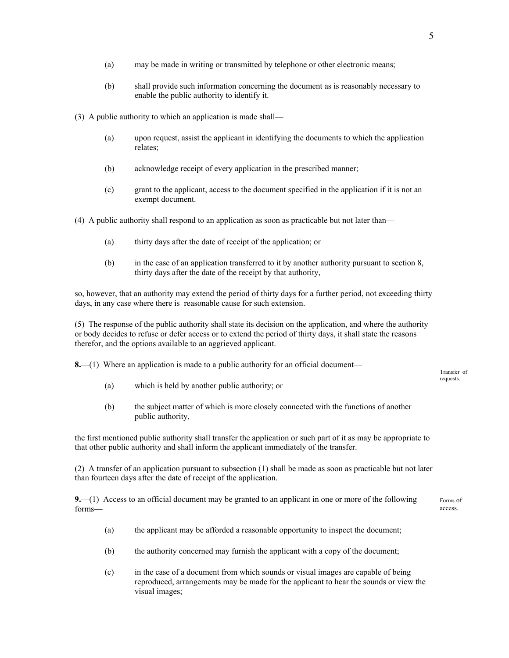- (a) may be made in writing or transmitted by telephone or other electronic means;
- (b) shall provide such information concerning the document as is reasonably necessary to enable the public authority to identify it.

(3) A public authority to which an application is made shall—

- (a) upon request, assist the applicant in identifying the documents to which the application relates;
- (b) acknowledge receipt of every application in the prescribed manner;
- (c) grant to the applicant, access to the document specified in the application if it is not an exempt document.

(4) A public authority shall respond to an application as soon as practicable but not later than—

- (a) thirty days after the date of receipt of the application; or
- (b) in the case of an application transferred to it by another authority pursuant to section 8, thirty days after the date of the receipt by that authority,

so, however, that an authority may extend the period of thirty days for a further period, not exceeding thirty days, in any case where there is reasonable cause for such extension.

(5) The response of the public authority shall state its decision on the application, and where the authority or body decides to refuse or defer access or to extend the period of thirty days, it shall state the reasons therefor, and the options available to an aggrieved applicant.

**8.**—(1) Where an application is made to a public authority for an official document—

- (a) which is held by another public authority; or
- (b) the subject matter of which is more closely connected with the functions of another public authority,

the first mentioned public authority shall transfer the application or such part of it as may be appropriate to that other public authority and shall inform the applicant immediately of the transfer.

(2) A transfer of an application pursuant to subsection (1) shall be made as soon as practicable but not later than fourteen days after the date of receipt of the application.

**9.**—(1) Access to an official document may be granted to an applicant in one or more of the following forms— Forms of access.

- (a) the applicant may be afforded a reasonable opportunity to inspect the document;
- (b) the authority concerned may furnish the applicant with a copy of the document;
- (c) in the case of a document from which sounds or visual images are capable of being reproduced, arrangements may be made for the applicant to hear the sounds or view the visual images;

Transfer of requests.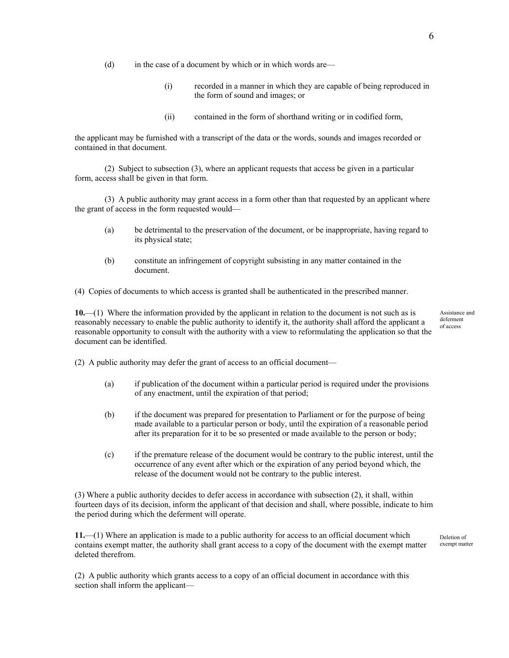- (d) in the case of a document by which or in which words are—
	- (i) recorded in a manner in which they are capable of being reproduced in the form of sound and images; or
	- (ii) contained in the form of shorthand writing or in codified form,

the applicant may be furnished with a transcript of the data or the words, sounds and images recorded or contained in that document.

(2) Subject to subsection (3), where an applicant requests that access be given in a particular form, access shall be given in that form.

(3) A public authority may grant access in a form other than that requested by an applicant where the grant of access in the form requested would—

- (a) be detrimental to the preservation of the document, or be inappropriate, having regard to its physical state;
- (b) constitute an infringement of copyright subsisting in any matter contained in the document.

(4) Copies of documents to which access is granted shall be authenticated in the prescribed manner.

**10.**—(1) Where the information provided by the applicant in relation to the document is not such as is reasonably necessary to enable the public authority to identify it, the authority shall afford the applicant a reasonable opportunity to consult with the authority with a view to reformulating the application so that the document can be identified.

Assistance and deferment of access

(2) A public authority may defer the grant of access to an official document—

- (a) if publication of the document within a particular period is required under the provisions of any enactment, until the expiration of that period;
- (b) if the document was prepared for presentation to Parliament or for the purpose of being made available to a particular person or body, until the expiration of a reasonable period after its preparation for it to be so presented or made available to the person or body;
- (c) if the premature release of the document would be contrary to the public interest, until the occurrence of any event after which or the expiration of any period beyond which, the release of the document would not be contrary to the public interest.

(3) Where a public authority decides to defer access in accordance with subsection (2), it shall, within fourteen days of its decision, inform the applicant of that decision and shall, where possible, indicate to him the period during which the deferment will operate.

**11.**—(1) Where an application is made to a public authority for access to an official document which contains exempt matter, the authority shall grant access to a copy of the document with the exempt matter deleted therefrom.

Deletion of exempt matter

(2) A public authority which grants access to a copy of an official document in accordance with this section shall inform the applicant—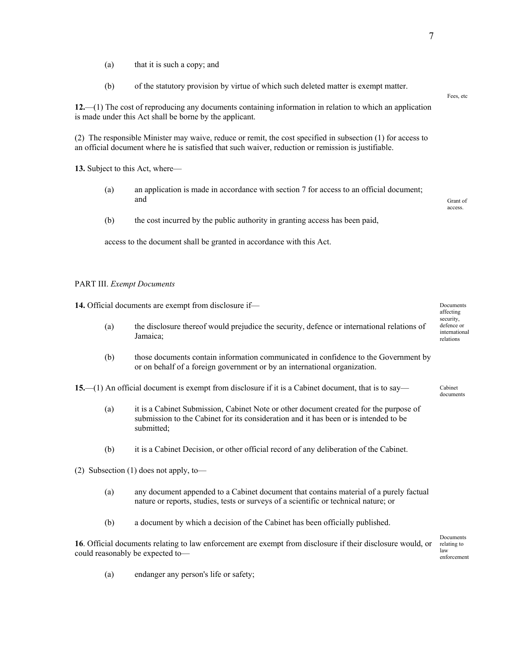- (a) that it is such a copy; and
- (b) of the statutory provision by virtue of which such deleted matter is exempt matter.

**12.**—(1) The cost of reproducing any documents containing information in relation to which an application is made under this Act shall be borne by the applicant.

(2) The responsible Minister may waive, reduce or remit, the cost specified in subsection (1) for access to an official document where he is satisfied that such waiver, reduction or remission is justifiable.

**13.** Subject to this Act, where—

- (a) an application is made in accordance with section 7 for access to an official document; **and** Grant of Grant of Grant of Grant of Grant of Grant of Grant of Grant of Grant of Grant of Grant of Grant of Grant of Grant of Grant of Grant of Grant of Grant of Grant of Grant of Grant of Grant of Grant of Grant of
- (b) the cost incurred by the public authority in granting access has been paid,

access to the document shall be granted in accordance with this Act.

#### PART III. *Exempt Documents*

**14.** Official documents are exempt from disclosure if—

- (a) the disclosure thereof would prejudice the security, defence or international relations of Jamaica;
- (b) those documents contain information communicated in confidence to the Government by or on behalf of a foreign government or by an international organization.

**15.**—(1) An official document is exempt from disclosure if it is a Cabinet document, that is to say— Cabinet

- (a) it is a Cabinet Submission, Cabinet Note or other document created for the purpose of submission to the Cabinet for its consideration and it has been or is intended to be submitted;
- (b) it is a Cabinet Decision, or other official record of any deliberation of the Cabinet.
- (2) Subsection (1) does not apply, to—
	- (a) any document appended to a Cabinet document that contains material of a purely factual nature or reports, studies, tests or surveys of a scientific or technical nature; or
	- (b) a document by which a decision of the Cabinet has been officially published.

**16**. Official documents relating to law enforcement are exempt from disclosure if their disclosure would, or could reasonably be expected to—

Documents relating to law enforcement

(a) endanger any person's life or safety;

#### Fees, etc

access.

affecting security, defence or international relations

documents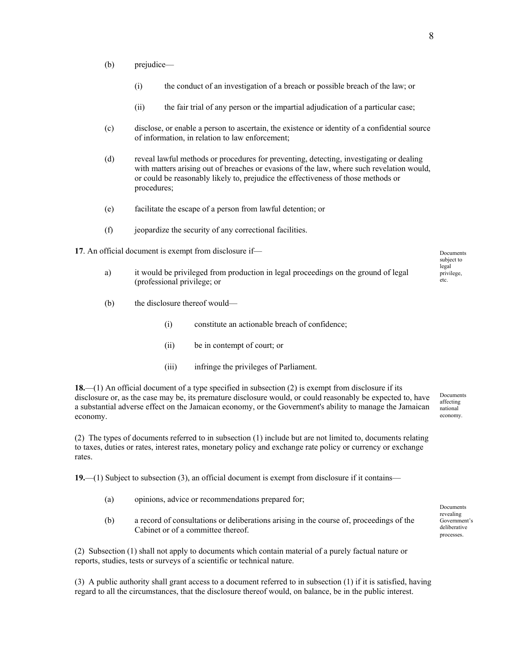- (b) prejudice—
	- (i) the conduct of an investigation of a breach or possible breach of the law; or
	- (ii) the fair trial of any person or the impartial adjudication of a particular case;
- (c) disclose, or enable a person to ascertain, the existence or identity of a confidential source of information, in relation to law enforcement;
- (d) reveal lawful methods or procedures for preventing, detecting, investigating or dealing with matters arising out of breaches or evasions of the law, where such revelation would, or could be reasonably likely to, prejudice the effectiveness of those methods or procedures;
- (e) facilitate the escape of a person from lawful detention; or
- (f) jeopardize the security of any correctional facilities.
- **17**. An official document is exempt from disclosure if
	- a) it would be privileged from production in legal proceedings on the ground of legal (professional privilege; or
	- (b) the disclosure thereof would—
		- (i) constitute an actionable breach of confidence;
		- (ii) be in contempt of court; or
		- (iii) infringe the privileges of Parliament.

**18.**—(1) An official document of a type specified in subsection (2) is exempt from disclosure if its disclosure or, as the case may be, its premature disclosure would, or could reasonably be expected to, have a substantial adverse effect on the Jamaican economy, or the Government's ability to manage the Jamaican economy.

(2) The types of documents referred to in subsection (1) include but are not limited to, documents relating to taxes, duties or rates, interest rates, monetary policy and exchange rate policy or currency or exchange rates.

**19.**—(1) Subject to subsection (3), an official document is exempt from disclosure if it contains—

- (a) opinions, advice or recommendations prepared for;
- (b) a record of consultations or deliberations arising in the course of, proceedings of the Cabinet or of a committee thereof.

(2) Subsection (1) shall not apply to documents which contain material of a purely factual nature or reports, studies, tests or surveys of a scientific or technical nature.

(3) A public authority shall grant access to a document referred to in subsection (1) if it is satisfied, having regard to all the circumstances, that the disclosure thereof would, on balance, be in the public interest.

Documents affecting national economy.

| Documents    |
|--------------|
| revealing    |
| Government's |
| deliberative |
| processes.   |

subject to legal privilege, etc.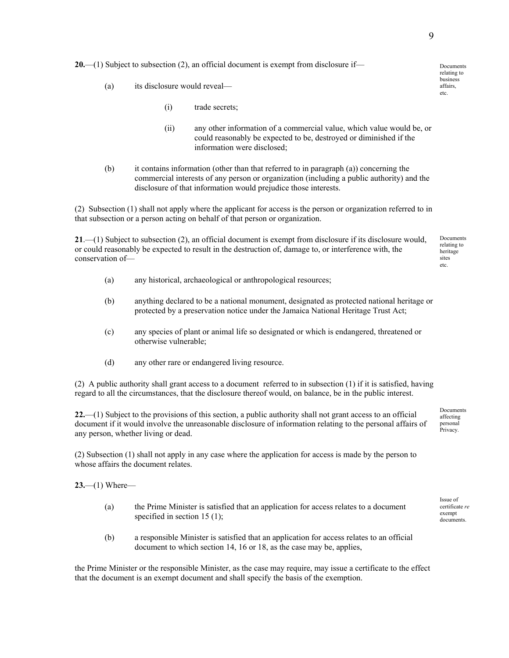**20.**—(1) Subject to subsection (2), an official document is exempt from disclosure if—  $D_{\text{p}$  Documents

- (a) its disclosure would reveal—
	- (i) trade secrets;
	- (ii) any other information of a commercial value, which value would be, or could reasonably be expected to be, destroyed or diminished if the information were disclosed;
- (b) it contains information (other than that referred to in paragraph (a)) concerning the commercial interests of any person or organization (including a public authority) and the disclosure of that information would prejudice those interests.

(2) Subsection (1) shall not apply where the applicant for access is the person or organization referred to in that subsection or a person acting on behalf of that person or organization.

**21**.—(1) Subject to subsection (2), an official document is exempt from disclosure if its disclosure would, or could reasonably be expected to result in the destruction of, damage to, or interference with, the conservation of— Documents relating to heritage sites etc.

- (a) any historical, archaeological or anthropological resources;
- (b) anything declared to be a national monument, designated as protected national heritage or protected by a preservation notice under the Jamaica National Heritage Trust Act;
- (c) any species of plant or animal life so designated or which is endangered, threatened or otherwise vulnerable;
- (d) any other rare or endangered living resource.

(2) A public authority shall grant access to a document referred to in subsection (1) if it is satisfied, having regard to all the circumstances, that the disclosure thereof would, on balance, be in the public interest.

**22.**—(1) Subject to the provisions of this section, a public authority shall not grant access to an official document if it would involve the unreasonable disclosure of information relating to the personal affairs of any person, whether living or dead.

(2) Subsection (1) shall not apply in any case where the application for access is made by the person to whose affairs the document relates.

**23.**—(1) Where—

- (a) the Prime Minister is satisfied that an application for access relates to a document specified in section 15 (1);
- (b) a responsible Minister is satisfied that an application for access relates to an official document to which section 14, 16 or 18, as the case may be, applies,

the Prime Minister or the responsible Minister, as the case may require, may issue a certificate to the effect that the document is an exempt document and shall specify the basis of the exemption.

relating to business affairs, etc.

affecting personal Privacy.

Documents

Issue of certificate *re*  exempt documents.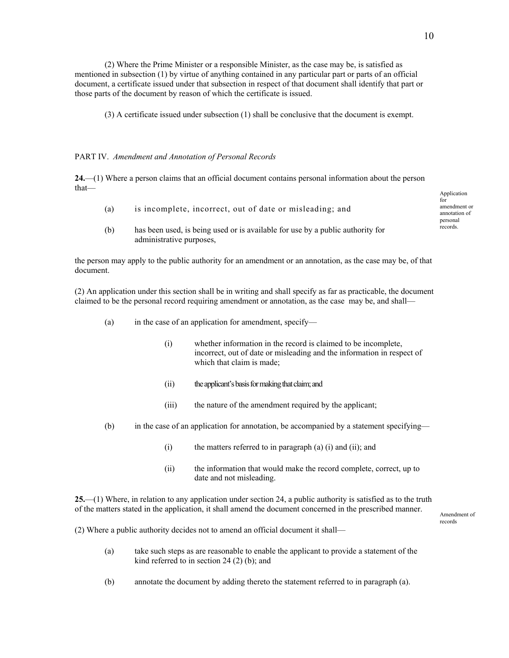(2) Where the Prime Minister or a responsible Minister, as the case may be, is satisfied as mentioned in subsection (1) by virtue of anything contained in any particular part or parts of an official document, a certificate issued under that subsection in respect of that document shall identify that part or those parts of the document by reason of which the certificate is issued.

(3) A certificate issued under subsection (1) shall be conclusive that the document is exempt.

#### PART IV. *Amendment and Annotation of Personal Records*

**24.**—(1) Where a person claims that an official document contains personal information about the person that—

- (a) is incomplete, incorrect, out of date or misleading; and
- (b) has been used, is being used or is available for use by a public authority for administrative purposes,

the person may apply to the public authority for an amendment or an annotation, as the case may be, of that document.

(2) An application under this section shall be in writing and shall specify as far as practicable, the document claimed to be the personal record requiring amendment or annotation, as the case may be, and shall—

- (a) in the case of an application for amendment, specify—
	- (i) whether information in the record is claimed to be incomplete, incorrect, out of date or misleading and the information in respect of which that claim is made;
	- (ii) the applicant's basis for making that claim;and
	- (iii) the nature of the amendment required by the applicant;
- (b) in the case of an application for annotation, be accompanied by a statement specifying—
	- (i) the matters referred to in paragraph (a) (i) and (ii); and
	- (ii) the information that would make the record complete, correct, up to date and not misleading.

**25.**—(1) Where, in relation to any application under section 24, a public authority is satisfied as to the truth of the matters stated in the application, it shall amend the document concerned in the prescribed manner.

records

(2) Where a public authority decides not to amend an official document it shall—

- (a) take such steps as are reasonable to enable the applicant to provide a statement of the kind referred to in section 24 (2) (b); and
- (b) annotate the document by adding thereto the statement referred to in paragraph (a).

Application for amendment or annotation of personal records.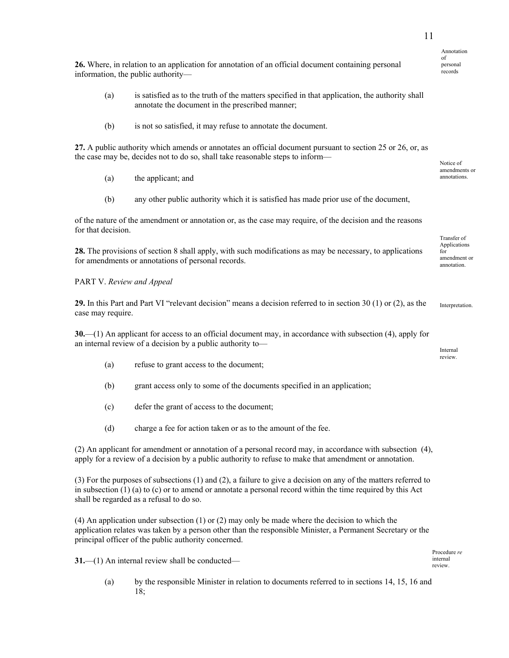11

|  |                                    | 26. Where, in relation to an application for annotation of an official document containing personal |  |  |  |  |
|--|------------------------------------|-----------------------------------------------------------------------------------------------------|--|--|--|--|
|  | information, the public authority— |                                                                                                     |  |  |  |  |

- (a) is satisfied as to the truth of the matters specified in that application, the authority shall annotate the document in the prescribed manner;
- (b) is not so satisfied, it may refuse to annotate the document.

**27.** A public authority which amends or annotates an official document pursuant to section 25 or 26, or, as the case may be, decides not to do so, shall take reasonable steps to inform—

- annotations. (a) the applicant; and
- (b) any other public authority which it is satisfied has made prior use of the document,

of the nature of the amendment or annotation or, as the case may require, of the decision and the reasons for that decision.

**28.** The provisions of section 8 shall apply, with such modifications as may be necessary, to applications for amendments or annotations of personal records.

PART V. *Review and Appeal* 

**29.** In this Part and Part VI "relevant decision" means a decision referred to in section 30 (1) or (2), as the case may require.

**30.**—(1) An applicant for access to an official document may, in accordance with subsection (4), apply for an internal review of a decision by a public authority to— $I_{\text{internal}}$ 

- (a) refuse to grant access to the document;
- (b) grant access only to some of the documents specified in an application;
- (c) defer the grant of access to the document;
- (d) charge a fee for action taken or as to the amount of the fee.

(2) An applicant for amendment or annotation of a personal record may, in accordance with subsection (4), apply for a review of a decision by a public authority to refuse to make that amendment or annotation.

(3) For the purposes of subsections (1) and (2), a failure to give a decision on any of the matters referred to in subsection (1) (a) to (c) or to amend or annotate a personal record within the time required by this Act shall be regarded as a refusal to do so.

(4) An application under subsection (1) or (2) may only be made where the decision to which the application relates was taken by a person other than the responsible Minister, a Permanent Secretary or the principal officer of the public authority concerned.

**31.**—(1) An internal review shall be conducted— $_{\text{review}}$ 

(a) by the responsible Minister in relation to documents referred to in sections 14, 15, 16 and 18;

records

 Annotation of personal

amendments or

Transfer of Applications for amendment or annotation.

Interpretation.

review.

Procedure *re*  internal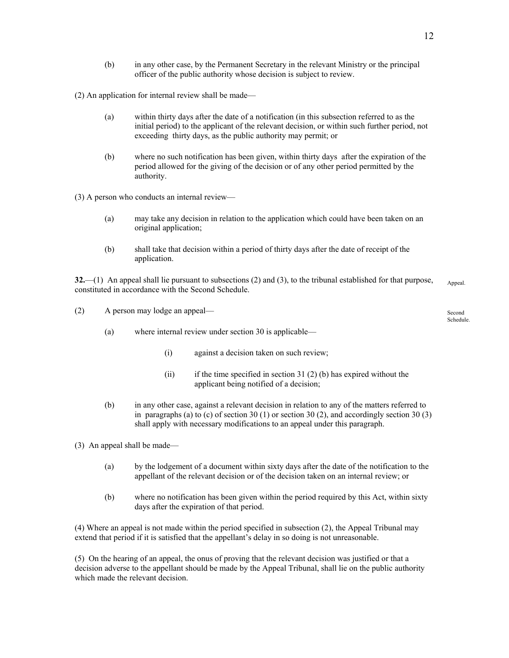(b) in any other case, by the Permanent Secretary in the relevant Ministry or the principal officer of the public authority whose decision is subject to review.

(2) An application for internal review shall be made—

- (a) within thirty days after the date of a notification (in this subsection referred to as the initial period) to the applicant of the relevant decision, or within such further period, not exceeding thirty days, as the public authority may permit; or
- (b) where no such notification has been given, within thirty days after the expiration of the period allowed for the giving of the decision or of any other period permitted by the authority.

(3) A person who conducts an internal review—

- (a) may take any decision in relation to the application which could have been taken on an original application;
- (b) shall take that decision within a period of thirty days after the date of receipt of the application.

**32.**—(1) An appeal shall lie pursuant to subsections (2) and (3), to the tribunal established for that purpose, constituted in accordance with the Second Schedule. Appeal

| (2) | A person may lodge an appeal— | Second<br>Schedule.                                   |  |
|-----|-------------------------------|-------------------------------------------------------|--|
|     | (a)                           | where internal review under section 30 is applicable— |  |
|     |                               | against a decision taken on such review;<br>(1)       |  |

- (ii) if the time specified in section 31 (2) (b) has expired without the applicant being notified of a decision;
- (b) in any other case, against a relevant decision in relation to any of the matters referred to in paragraphs (a) to (c) of section 30 (1) or section 30 (2), and accordingly section 30 (3) shall apply with necessary modifications to an appeal under this paragraph.

(3) An appeal shall be made—

- (a) by the lodgement of a document within sixty days after the date of the notification to the appellant of the relevant decision or of the decision taken on an internal review; or
- (b) where no notification has been given within the period required by this Act, within sixty days after the expiration of that period.

(4) Where an appeal is not made within the period specified in subsection (2), the Appeal Tribunal may extend that period if it is satisfied that the appellant's delay in so doing is not unreasonable.

(5) On the hearing of an appeal, the onus of proving that the relevant decision was justified or that a decision adverse to the appellant should be made by the Appeal Tribunal, shall lie on the public authority which made the relevant decision.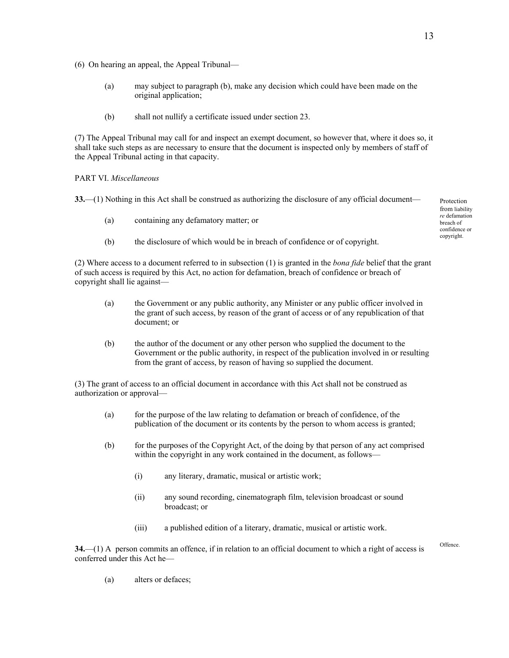- (6) On hearing an appeal, the Appeal Tribunal—
	- (a) may subject to paragraph (b), make any decision which could have been made on the original application;
	- (b) shall not nullify a certificate issued under section 23.

(7) The Appeal Tribunal may call for and inspect an exempt document, so however that, where it does so, it shall take such steps as are necessary to ensure that the document is inspected only by members of staff of the Appeal Tribunal acting in that capacity.

#### PART VI. *Miscellaneous*

**33.—(1)** Nothing in this Act shall be construed as authorizing the disclosure of any official document—  $P_{\text{interaction}}$ 

- (a) containing any defamatory matter; or
- (b) the disclosure of which would be in breach of confidence or of copyright.

(2) Where access to a document referred to in subsection (1) is granted in the *bona fide* belief that the grant of such access is required by this Act, no action for defamation, breach of confidence or breach of copyright shall lie against—

- (a) the Government or any public authority, any Minister or any public officer involved in the grant of such access, by reason of the grant of access or of any republication of that document; or
- (b) the author of the document or any other person who supplied the document to the Government or the public authority, in respect of the publication involved in or resulting from the grant of access, by reason of having so supplied the document.

(3) The grant of access to an official document in accordance with this Act shall not be construed as authorization or approval—

- (a) for the purpose of the law relating to defamation or breach of confidence, of the publication of the document or its contents by the person to whom access is granted;
- (b) for the purposes of the Copyright Act, of the doing by that person of any act comprised within the copyright in any work contained in the document, as follows—
	- (i) any literary, dramatic, musical or artistic work;
	- (ii) any sound recording, cinematograph film, television broadcast or sound broadcast; or
	- (iii) a published edition of a literary, dramatic, musical or artistic work.

**34.**—(1) A person commits an offence, if in relation to an official document to which a right of access is<sup>Offence</sup> conferred under this Act he—

(a) alters or defaces;

from liability *re* defamation breach of confidence or copyright.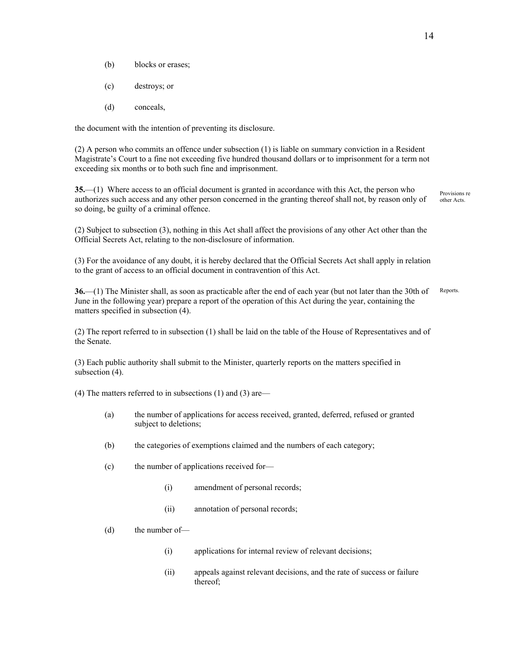- (b) blocks or erases;
- (c) destroys; or
- (d) conceals,

the document with the intention of preventing its disclosure.

(2) A person who commits an offence under subsection (1) is liable on summary conviction in a Resident Magistrate's Court to a fine not exceeding five hundred thousand dollars or to imprisonment for a term not exceeding six months or to both such fine and imprisonment.

**35.**—(1) Where access to an official document is granted in accordance with this Act, the person who authorizes such access and any other person concerned in the granting thereof shall not, by reason only of so doing, be guilty of a criminal offence. Provisions re other Acts.

(2) Subject to subsection (3), nothing in this Act shall affect the provisions of any other Act other than the Official Secrets Act, relating to the non-disclosure of information.

(3) For the avoidance of any doubt, it is hereby declared that the Official Secrets Act shall apply in relation to the grant of access to an official document in contravention of this Act.

**36.**—(1) The Minister shall, as soon as practicable after the end of each year (but not later than the 30th of June in the following year) prepare a report of the operation of this Act during the year, containing the matters specified in subsection (4). Reports.

(2) The report referred to in subsection (1) shall be laid on the table of the House of Representatives and of the Senate.

(3) Each public authority shall submit to the Minister, quarterly reports on the matters specified in subsection  $(4)$ .

(4) The matters referred to in subsections (1) and (3) are—

- (a) the number of applications for access received, granted, deferred, refused or granted subject to deletions;
- (b) the categories of exemptions claimed and the numbers of each category;
- (c) the number of applications received for—
	- (i) amendment of personal records;
	- (ii) annotation of personal records;
- (d) the number of—
	- (i) applications for internal review of relevant decisions;
	- (ii) appeals against relevant decisions, and the rate of success or failure thereof;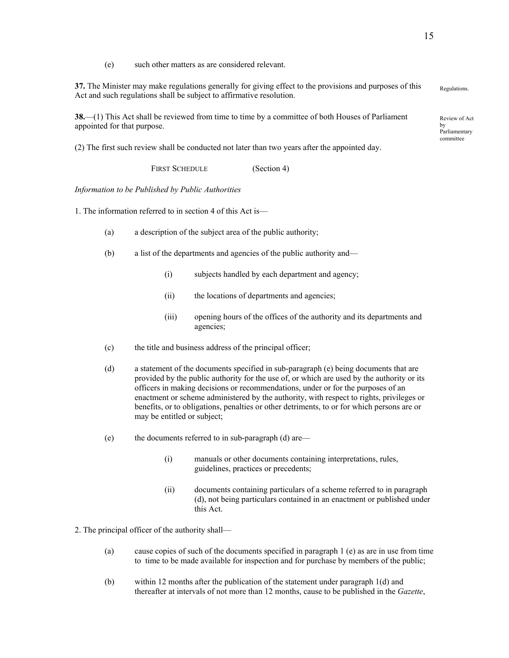(e) such other matters as are considered relevant.

**37.** The Minister may make regulations generally for giving effect to the provisions and purposes of this 57. The Minister may make regulations generally for giving effect to the provisions and purposes of this regulations.<br>Act and such regulations shall be subject to affirmative resolution.

**38.**—(1) This Act shall be reviewed from time to time by a committee of both Houses of Parliament appointed for that purpose.

(2) The first such review shall be conducted not later than two years after the appointed day.

FIRST SCHEDULE (Section 4)

*Information to be Published by Public Authorities* 

1. The information referred to in section 4 of this Act is—

- (a) a description of the subject area of the public authority;
- (b) a list of the departments and agencies of the public authority and—
	- (i) subjects handled by each department and agency;
	- (ii) the locations of departments and agencies;
	- (iii) opening hours of the offices of the authority and its departments and agencies;
- (c) the title and business address of the principal officer;
- (d) a statement of the documents specified in sub-paragraph (e) being documents that are provided by the public authority for the use of, or which are used by the authority or its officers in making decisions or recommendations, under or for the purposes of an enactment or scheme administered by the authority, with respect to rights, privileges or benefits, or to obligations, penalties or other detriments, to or for which persons are or may be entitled or subject;
- (e) the documents referred to in sub-paragraph (d) are—
	- (i) manuals or other documents containing interpretations, rules, guidelines, practices or precedents;
	- (ii) documents containing particulars of a scheme referred to in paragraph (d), not being particulars contained in an enactment or published under this Act.

2. The principal officer of the authority shall—

- (a) cause copies of such of the documents specified in paragraph 1 (e) as are in use from time to time to be made available for inspection and for purchase by members of the public;
- (b) within 12 months after the publication of the statement under paragraph 1(d) and thereafter at intervals of not more than 12 months, cause to be published in the *Gazette*,

Review of Act by Parliamentary committee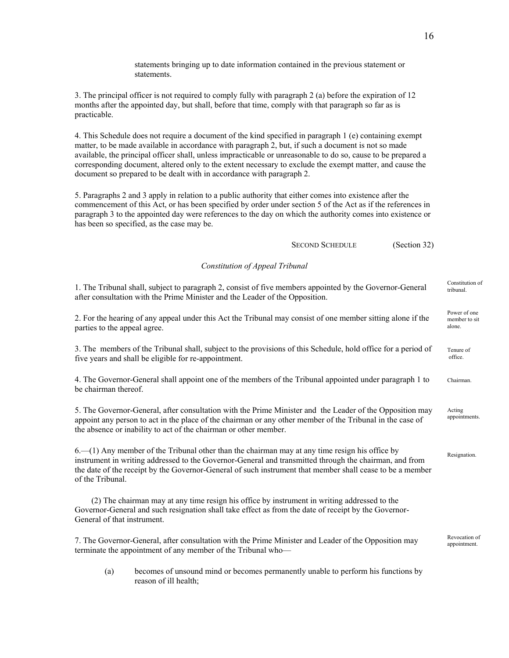statements bringing up to date information contained in the previous statement or statements. 3. The principal officer is not required to comply fully with paragraph 2 (a) before the expiration of 12 months after the appointed day, but shall, before that time, comply with that paragraph so far as is practicable. 4. This Schedule does not require a document of the kind specified in paragraph 1 (e) containing exempt matter, to be made available in accordance with paragraph 2, but, if such a document is not so made available, the principal officer shall, unless impracticable or unreasonable to do so, cause to be prepared a corresponding document, altered only to the extent necessary to exclude the exempt matter, and cause the document so prepared to be dealt with in accordance with paragraph 2. 5. Paragraphs 2 and 3 apply in relation to a public authority that either comes into existence after the commencement of this Act, or has been specified by order under section 5 of the Act as if the references in paragraph 3 to the appointed day were references to the day on which the authority comes into existence or has been so specified, as the case may be. SECOND SCHEDULE (Section 32) *Constitution of Appeal Tribunal*  1. The Tribunal shall, subject to paragraph 2, consist of five members appointed by the Governor-General Constitution of after consultation with the Prime Minister and the Leader of the Opposition. Power of one member to sit alone. 2. For the hearing of any appeal under this Act the Tribunal may consist of one member sitting alone if the parties to the appeal agree. 3. The members of the Tribunal shall, subject to the provisions of this Schedule, hold office for a period of five years and shall be eligible for re-appointment. Tenure of office. 4. The Governor-General shall appoint one of the members of the Tribunal appointed under paragraph 1 to be chairman thereof. Chairman. 5. The Governor-General, after consultation with the Prime Minister and the Leader of the Opposition may appoint any person to act in the place of the chairman or any other member of the Tribunal in the case of the absence or inability to act of the chairman or other member. Acting appointments. 6.—(1) Any member of the Tribunal other than the chairman may at any time resign his office by instrument in writing addressed to the Governor-General and transmitted through the chairman, and from the date of the receipt by the Governor-General of such instrument that member shall cease to be a member of the Tribunal. **Resignation**  (2) The chairman may at any time resign his office by instrument in writing addressed to the Governor-General and such resignation shall take effect as from the date of receipt by the Governor-General of that instrument. Revocation of<br>appointment. 7. The Governor-General, after consultation with the Prime Minister and Leader of the Opposition may terminate the appointment of any member of the Tribunal who—

16

(a) becomes of unsound mind or becomes permanently unable to perform his functions by reason of ill health;